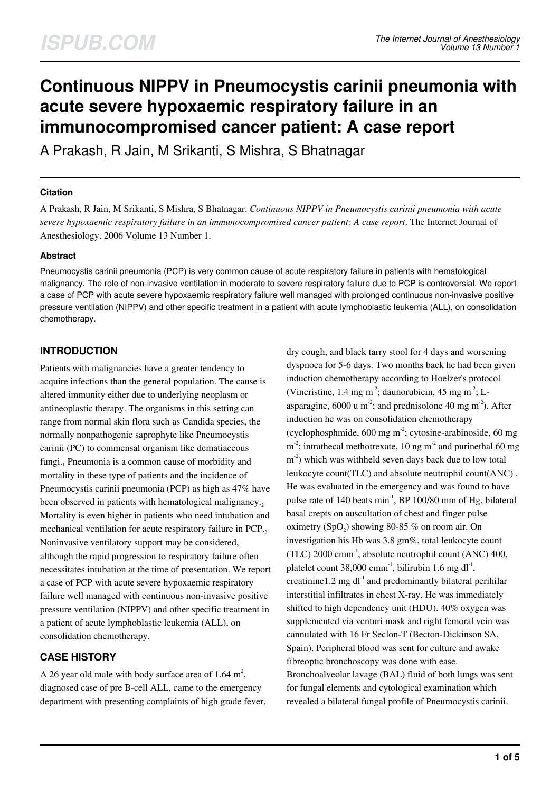# **Continuous NIPPV in Pneumocystis carinii pneumonia with acute severe hypoxaemic respiratory failure in an immunocompromised cancer patient: A case report**

A Prakash, R Jain, M Srikanti, S Mishra, S Bhatnagar

#### **Citation**

A Prakash, R Jain, M Srikanti, S Mishra, S Bhatnagar. *Continuous NIPPV in Pneumocystis carinii pneumonia with acute severe hypoxaemic respiratory failure in an immunocompromised cancer patient: A case report*. The Internet Journal of Anesthesiology. 2006 Volume 13 Number 1.

#### **Abstract**

Pneumocystis carinii pneumonia (PCP) is very common cause of acute respiratory failure in patients with hematological malignancy. The role of non-invasive ventilation in moderate to severe respiratory failure due to PCP is controversial. We report a case of PCP with acute severe hypoxaemic respiratory failure well managed with prolonged continuous non-invasive positive pressure ventilation (NIPPV) and other specific treatment in a patient with acute lymphoblastic leukemia (ALL), on consolidation chemotherapy.

## **INTRODUCTION**

Patients with malignancies have a greater tendency to acquire infections than the general population. The cause is altered immunity either due to underlying neoplasm or antineoplastic therapy. The organisms in this setting can range from normal skin flora such as Candida species, the normally nonpathogenic saprophyte like Pneumocystis carinii (PC) to commensal organism like dematiaceous fungi.<sub>1</sub> Pneumonia is a common cause of morbidity and mortality in these type of patients and the incidence of Pneumocystis carinii pneumonia (PCP) as high as 47% have been observed in patients with hematological malignancy. Mortality is even higher in patients who need intubation and mechanical ventilation for acute respiratory failure in PCP.3 Noninvasive ventilatory support may be considered, although the rapid progression to respiratory failure often necessitates intubation at the time of presentation. We report a case of PCP with acute severe hypoxaemic respiratory failure well managed with continuous non-invasive positive pressure ventilation (NIPPV) and other specific treatment in a patient of acute lymphoblastic leukemia (ALL), on consolidation chemotherapy.

## **CASE HISTORY**

A 26 year old male with body surface area of 1.64  $m^2$ , diagnosed case of pre B-cell ALL, came to the emergency department with presenting complaints of high grade fever, dry cough, and black tarry stool for 4 days and worsening dyspnoea for 5-6 days. Two months back he had been given induction chemotherapy according to Hoelzer's protocol (Vincristine, 1.4 mg m<sup>-2</sup>; daunorubicin, 45 mg m<sup>-2</sup>; Lasparagine,  $6000 \text{ u m}^2$ ; and prednisolone 40 mg m<sup>-2</sup>). After induction he was on consolidation chemotherapy (cyclophosphmide,  $600 \text{ mg m}^2$ ; cytosine-arabinoside,  $60 \text{ mg}$  $m<sup>2</sup>$ ; intrathecal methotrexate, 10 ng m<sup>-2</sup> and purinethal 60 mg  $m<sup>2</sup>$ ) which was withheld seven days back due to low total leukocyte count(TLC) and absolute neutrophil count(ANC) . He was evaluated in the emergency and was found to have pulse rate of 140 beats min-1, BP 100/80 mm of Hg, bilateral basal crepts on auscultation of chest and finger pulse oximetry (SpO<sub>2</sub>) showing 80-85 % on room air. On investigation his Hb was 3.8 gm%, total leukocyte count (TLC) 2000 cmm<sup>-1</sup>, absolute neutrophil count (ANC) 400, platelet count  $38,000$  cmm<sup>-1</sup>, bilirubin 1.6 mg dl<sup>-1</sup>, creatinine1.2 mg  $dl<sup>-1</sup>$  and predominantly bilateral perihilar interstitial infiltrates in chest X-ray. He was immediately shifted to high dependency unit (HDU). 40% oxygen was supplemented via venturi mask and right femoral vein was cannulated with 16 Fr Seclon-T (Becton-Dickinson SA, Spain). Peripheral blood was sent for culture and awake fibreoptic bronchoscopy was done with ease. Bronchoalveolar lavage (BAL) fluid of both lungs was sent for fungal elements and cytological examination which revealed a bilateral fungal profile of Pneumocystis carinii.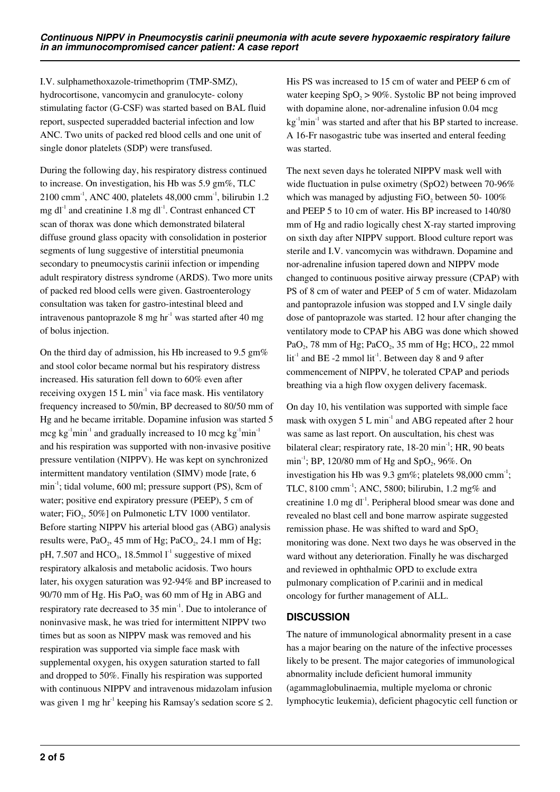I.V. sulphamethoxazole-trimethoprim (TMP-SMZ), hydrocortisone, vancomycin and granulocyte- colony stimulating factor (G-CSF) was started based on BAL fluid report, suspected superadded bacterial infection and low ANC. Two units of packed red blood cells and one unit of single donor platelets (SDP) were transfused.

During the following day, his respiratory distress continued to increase. On investigation, his Hb was 5.9 gm%, TLC 2100 cmm-1, ANC 400, platelets 48,000 cmm-1, bilirubin 1.2 mg dl<sup>-1</sup> and creatinine 1.8 mg dl<sup>-1</sup>. Contrast enhanced CT scan of thorax was done which demonstrated bilateral diffuse ground glass opacity with consolidation in posterior segments of lung suggestive of interstitial pneumonia secondary to pneumocystis carinii infection or impending adult respiratory distress syndrome (ARDS). Two more units of packed red blood cells were given. Gastroenterology consultation was taken for gastro-intestinal bleed and intravenous pantoprazole 8 mg  $hr<sup>-1</sup>$  was started after 40 mg of bolus injection.

On the third day of admission, his Hb increased to 9.5  $\text{gm}\%$ and stool color became normal but his respiratory distress increased. His saturation fell down to 60% even after receiving oxygen  $15$  L min<sup>-1</sup> via face mask. His ventilatory frequency increased to 50/min, BP decreased to 80/50 mm of Hg and he became irritable. Dopamine infusion was started 5 mcg kg<sup>-1</sup>min<sup>-1</sup> and gradually increased to 10 mcg kg<sup>-1</sup>min<sup>-1</sup> and his respiration was supported with non-invasive positive pressure ventilation (NIPPV). He was kept on synchronized intermittent mandatory ventilation (SIMV) mode [rate, 6 min<sup>-1</sup>; tidal volume, 600 ml; pressure support (PS), 8cm of water; positive end expiratory pressure (PEEP), 5 cm of water;  $FiO_2$ , 50%] on Pulmonetic LTV 1000 ventilator. Before starting NIPPV his arterial blood gas (ABG) analysis results were,  $PaO<sub>2</sub>$ , 45 mm of Hg; PaCO<sub>2</sub>, 24.1 mm of Hg; pH, 7.507 and HCO<sub>3</sub>, 18.5mmol  $I<sup>-1</sup>$  suggestive of mixed respiratory alkalosis and metabolic acidosis. Two hours later, his oxygen saturation was 92-94% and BP increased to 90/70 mm of Hg. His Pa $O_2$  was 60 mm of Hg in ABG and respiratory rate decreased to 35 min<sup>-1</sup>. Due to intolerance of noninvasive mask, he was tried for intermittent NIPPV two times but as soon as NIPPV mask was removed and his respiration was supported via simple face mask with supplemental oxygen, his oxygen saturation started to fall and dropped to 50%. Finally his respiration was supported with continuous NIPPV and intravenous midazolam infusion was given 1 mg hr<sup>-1</sup> keeping his Ramsay's sedation score  $\leq 2$ .

His PS was increased to 15 cm of water and PEEP 6 cm of water keeping  $SpO<sub>2</sub> > 90\%$ . Systolic BP not being improved with dopamine alone, nor-adrenaline infusion 0.04 mcg  $kg^{-1}$ min<sup>-1</sup> was started and after that his BP started to increase. A 16-Fr nasogastric tube was inserted and enteral feeding was started.

The next seven days he tolerated NIPPV mask well with wide fluctuation in pulse oximetry (SpO2) between 70-96% which was managed by adjusting  $FiO<sub>2</sub>$  between 50- 100% and PEEP 5 to 10 cm of water. His BP increased to 140/80 mm of Hg and radio logically chest X-ray started improving on sixth day after NIPPV support. Blood culture report was sterile and I.V. vancomycin was withdrawn. Dopamine and nor-adrenaline infusion tapered down and NIPPV mode changed to continuous positive airway pressure (CPAP) with PS of 8 cm of water and PEEP of 5 cm of water. Midazolam and pantoprazole infusion was stopped and I.V single daily dose of pantoprazole was started. 12 hour after changing the ventilatory mode to CPAP his ABG was done which showed PaO<sub>2</sub>, 78 mm of Hg; PaCO<sub>2</sub>, 35 mm of Hg; HCO<sub>3</sub>, 22 mmol  $lit<sup>-1</sup>$  and BE -2 mmol lit<sup>-1</sup>. Between day 8 and 9 after commencement of NIPPV, he tolerated CPAP and periods breathing via a high flow oxygen delivery facemask.

On day 10, his ventilation was supported with simple face mask with oxygen  $5 L \text{ min}^{-1}$  and ABG repeated after 2 hour was same as last report. On auscultation, his chest was bilateral clear; respiratory rate, 18-20 min<sup>-1</sup>; HR, 90 beats min<sup>-1</sup>; BP, 120/80 mm of Hg and SpO<sub>2</sub>, 96%. On investigation his Hb was 9.3 gm%; platelets 98,000 cmm<sup>-1</sup>; TLC,  $8100 \text{ cm}^{-1}$ ; ANC,  $5800$ ; bilirubin,  $1.2 \text{ mg\%}$  and creatinine  $1.0 \text{ mg d}^{-1}$ . Peripheral blood smear was done and revealed no blast cell and bone marrow aspirate suggested remission phase. He was shifted to ward and  $SpO<sub>2</sub>$ monitoring was done. Next two days he was observed in the ward without any deterioration. Finally he was discharged and reviewed in ophthalmic OPD to exclude extra pulmonary complication of P.carinii and in medical oncology for further management of ALL.

## **DISCUSSION**

The nature of immunological abnormality present in a case has a major bearing on the nature of the infective processes likely to be present. The major categories of immunological abnormality include deficient humoral immunity (agammaglobulinaemia, multiple myeloma or chronic lymphocytic leukemia), deficient phagocytic cell function or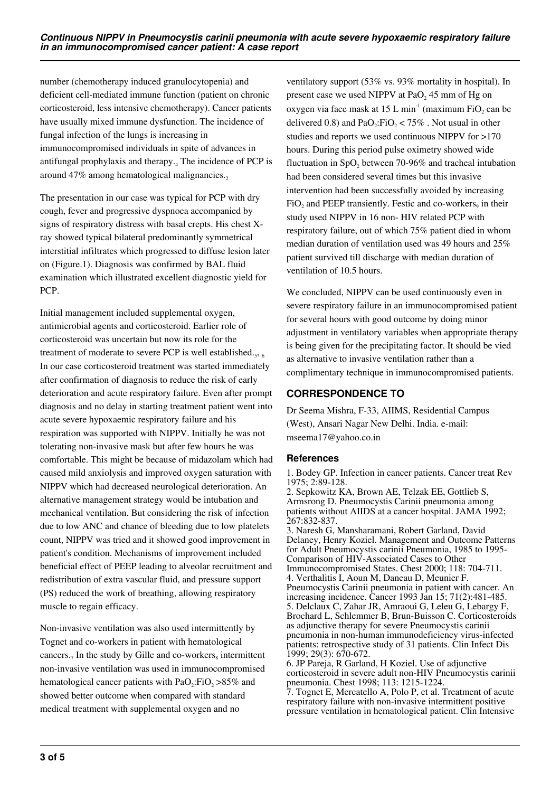number (chemotherapy induced granulocytopenia) and deficient cell-mediated immune function (patient on chronic corticosteroid, less intensive chemotherapy). Cancer patients have usually mixed immune dysfunction. The incidence of fungal infection of the lungs is increasing in immunocompromised individuals in spite of advances in antifungal prophylaxis and therapy.<sup>4</sup> The incidence of PCP is around 47% among hematological malignancies.

The presentation in our case was typical for PCP with dry cough, fever and progressive dyspnoea accompanied by signs of respiratory distress with basal crepts. His chest Xray showed typical bilateral predominantly symmetrical interstitial infiltrates which progressed to diffuse lesion later on (Figure.1). Diagnosis was confirmed by BAL fluid examination which illustrated excellent diagnostic yield for PCP.

Initial management included supplemental oxygen, antimicrobial agents and corticosteroid. Earlier role of corticosteroid was uncertain but now its role for the treatment of moderate to severe PCP is well established. $_5$ ,  $_6$ In our case corticosteroid treatment was started immediately after confirmation of diagnosis to reduce the risk of early deterioration and acute respiratory failure. Even after prompt diagnosis and no delay in starting treatment patient went into acute severe hypoxaemic respiratory failure and his respiration was supported with NIPPV. Initially he was not tolerating non-invasive mask but after few hours he was comfortable. This might be because of midazolam which had caused mild anxiolysis and improved oxygen saturation with NIPPV which had decreased neurological deterioration. An alternative management strategy would be intubation and mechanical ventilation. But considering the risk of infection due to low ANC and chance of bleeding due to low platelets count, NIPPV was tried and it showed good improvement in patient's condition. Mechanisms of improvement included beneficial effect of PEEP leading to alveolar recruitment and redistribution of extra vascular fluid, and pressure support (PS) reduced the work of breathing, allowing respiratory muscle to regain efficacy.

Non-invasive ventilation was also used intermittently by Tognet and co-workers in patient with hematological cancers.<sub>7</sub> In the study by Gille and co-workers<sub>s</sub> intermittent non-invasive ventilation was used in immunocompromised hematological cancer patients with  $PaO<sub>2</sub>:FiO<sub>2</sub> > 85%$  and showed better outcome when compared with standard medical treatment with supplemental oxygen and no

ventilatory support (53% vs. 93% mortality in hospital). In present case we used NIPPV at  $PaO<sub>2</sub>$  45 mm of Hg on oxygen via face mask at 15 L min<sup>-1</sup> (maximum FiO<sub>2</sub> can be delivered 0.8) and  $PaO<sub>2</sub>:FiO<sub>2</sub> < 75%$ . Not usual in other studies and reports we used continuous NIPPV for >170 hours. During this period pulse oximetry showed wide fluctuation in  $SpO<sub>2</sub>$  between 70-96% and tracheal intubation had been considered several times but this invasive intervention had been successfully avoided by increasing  $FiO<sub>2</sub>$  and PEEP transiently. Festic and co-workers<sub>9</sub> in their study used NIPPV in 16 non- HIV related PCP with respiratory failure, out of which 75% patient died in whom median duration of ventilation used was 49 hours and 25% patient survived till discharge with median duration of ventilation of 10.5 hours.

We concluded, NIPPV can be used continuously even in severe respiratory failure in an immunocompromised patient for several hours with good outcome by doing minor adjustment in ventilatory variables when appropriate therapy is being given for the precipitating factor. It should be vied as alternative to invasive ventilation rather than a complimentary technique in immunocompromised patients.

# **CORRESPONDENCE TO**

Dr Seema Mishra, F-33, AIIMS, Residential Campus (West), Ansari Nagar New Delhi. India. e-mail: mseema17@yahoo.co.in

## **References**

1. Bodey GP. Infection in cancer patients. Cancer treat Rev 1975; 2:89-128.

2. Sepkowitz KA, Brown AE, Telzak EE, Gottlieb S, Armsrong D. Pneumocystis Carinii pneumonia among patients without AIIDS at a cancer hospital. JAMA 1992; 267:832-837.

3. Naresh G, Mansharamani, Robert Garland, David Delaney, Henry Koziel. Management and Outcome Patterns for Adult Pneumocystis carinii Pneumonia, 1985 to 1995- Comparison of HIV-Associated Cases to Other Immunocompromised States. Chest 2000; 118: 704-711. 4. Verthalitis I, Aoun M, Daneau D, Meunier F. Pneumocystis Carinii pneumonia in patient with cancer. An increasing incidence. Cancer 1993 Jan 15; 71(2):481-485. 5. Delclaux C, Zahar JR, Amraoui G, Leleu G, Lebargy F, Brochard L, Schlemmer B, Brun-Buisson C. Corticosteroids as adjunctive therapy for severe Pneumocystis carinii pneumonia in non-human immunodeficiency virus-infected patients: retrospective study of 31 patients. Clin Infect Dis 1999; 29(3): 670-672.

6. JP Pareja, R Garland, H Koziel. Use of adjunctive corticosteroid in severe adult non-HIV Pneumocystis carinii pneumonia. Chest 1998; 113: 1215-1224.

7. Tognet E, Mercatello A, Polo P, et al. Treatment of acute respiratory failure with non-invasive intermittent positive pressure ventilation in hematological patient. Clin Intensive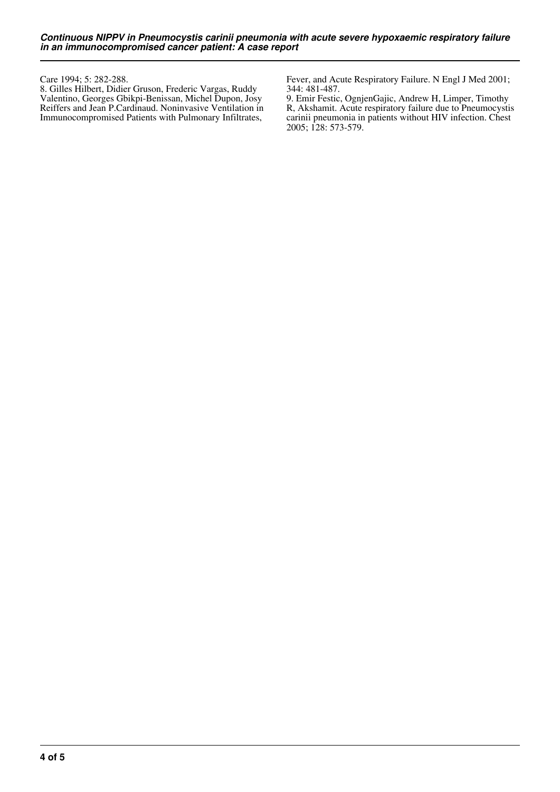Care 1994; 5: 282-288.

8. Gilles Hilbert, Didier Gruson, Frederic Vargas, Ruddy Valentino, Georges Gbikpi-Benissan, Michel Dupon, Josy Reiffers and Jean P.Cardinaud. Noninvasive Ventilation in Immunocompromised Patients with Pulmonary Infiltrates,

Fever, and Acute Respiratory Failure. N Engl J Med 2001; 344: 481-487.

9. Emir Festic, OgnjenGajic, Andrew H, Limper, Timothy R, Akshamit. Acute respiratory failure due to Pneumocystis carinii pneumonia in patients without HIV infection. Chest 2005; 128: 573-579.